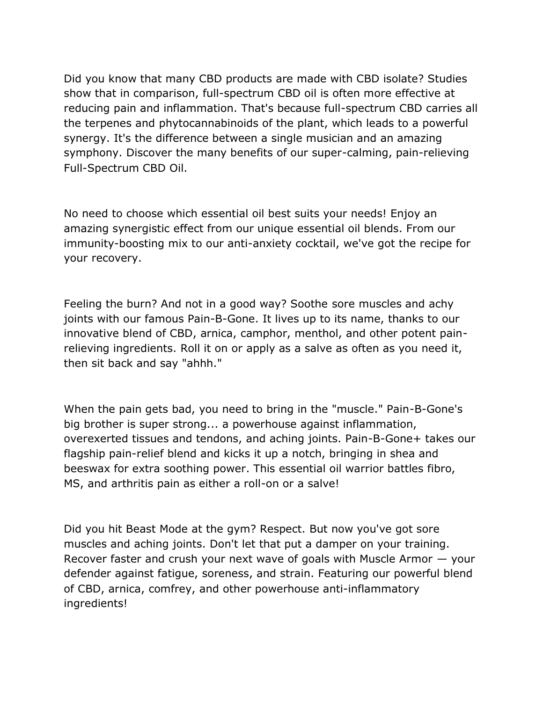Did you know that many CBD products are made with CBD isolate? Studies show that in comparison, full-spectrum CBD oil is often more effective at reducing pain and inflammation. That's because full-spectrum CBD carries all the terpenes and phytocannabinoids of the plant, which leads to a powerful synergy. It's the difference between a single musician and an amazing symphony. Discover the many benefits of our super-calming, pain-relieving Full-Spectrum CBD Oil.

No need to choose which essential oil best suits your needs! Enjoy an amazing synergistic effect from our unique essential oil blends. From our immunity-boosting mix to our anti-anxiety cocktail, we've got the recipe for your recovery.

Feeling the burn? And not in a good way? Soothe sore muscles and achy joints with our famous Pain-B-Gone. It lives up to its name, thanks to our innovative blend of CBD, arnica, camphor, menthol, and other potent painrelieving ingredients. Roll it on or apply as a salve as often as you need it, then sit back and say "ahhh."

When the pain gets bad, you need to bring in the "muscle." Pain-B-Gone's big brother is super strong... a powerhouse against inflammation, overexerted tissues and tendons, and aching joints. Pain-B-Gone+ takes our flagship pain-relief blend and kicks it up a notch, bringing in shea and beeswax for extra soothing power. This essential oil warrior battles fibro, MS, and arthritis pain as either a roll-on or a salve!

Did you hit Beast Mode at the gym? Respect. But now you've got sore muscles and aching joints. Don't let that put a damper on your training. Recover faster and crush your next wave of goals with Muscle Armor — your defender against fatigue, soreness, and strain. Featuring our powerful blend of CBD, arnica, comfrey, and other powerhouse anti-inflammatory ingredients!